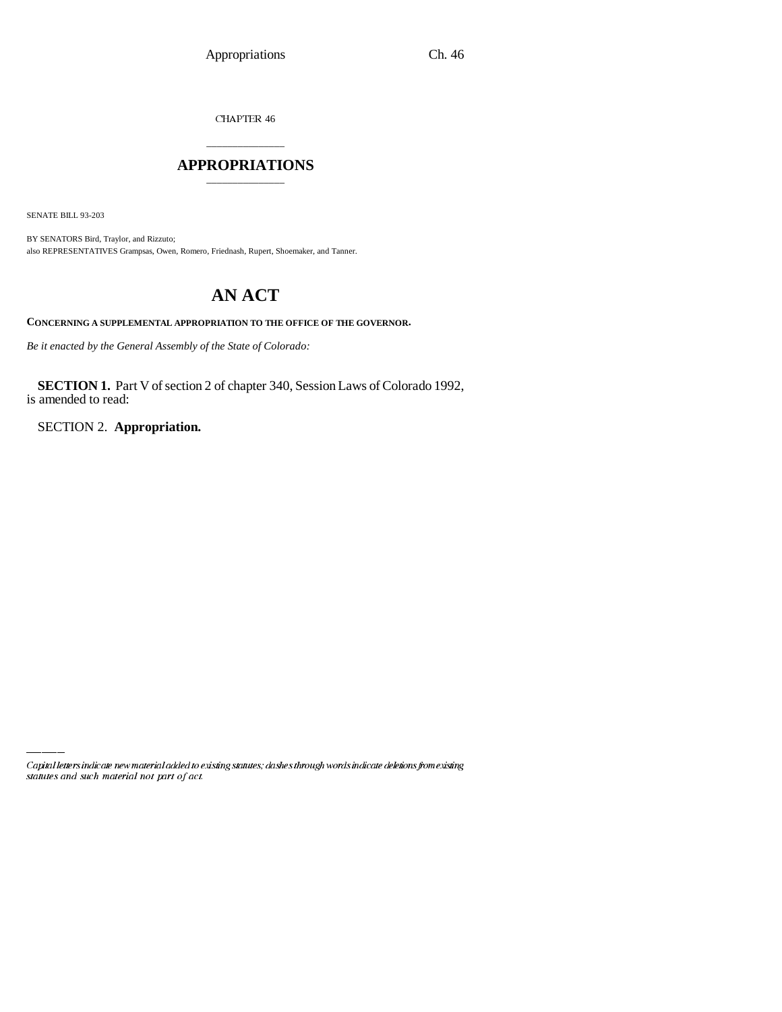CHAPTER 46

## \_\_\_\_\_\_\_\_\_\_\_\_\_\_\_ **APPROPRIATIONS** \_\_\_\_\_\_\_\_\_\_\_\_\_\_\_

SENATE BILL 93-203

BY SENATORS Bird, Traylor, and Rizzuto; also REPRESENTATIVES Grampsas, Owen, Romero, Friednash, Rupert, Shoemaker, and Tanner.

# **AN ACT**

**CONCERNING A SUPPLEMENTAL APPROPRIATION TO THE OFFICE OF THE GOVERNOR.**

*Be it enacted by the General Assembly of the State of Colorado:*

**SECTION 1.** Part V of section 2 of chapter 340, Session Laws of Colorado 1992, is amended to read:

SECTION 2. **Appropriation.**

Capital letters indicate new material added to existing statutes; dashes through words indicate deletions from existing statutes and such material not part of act.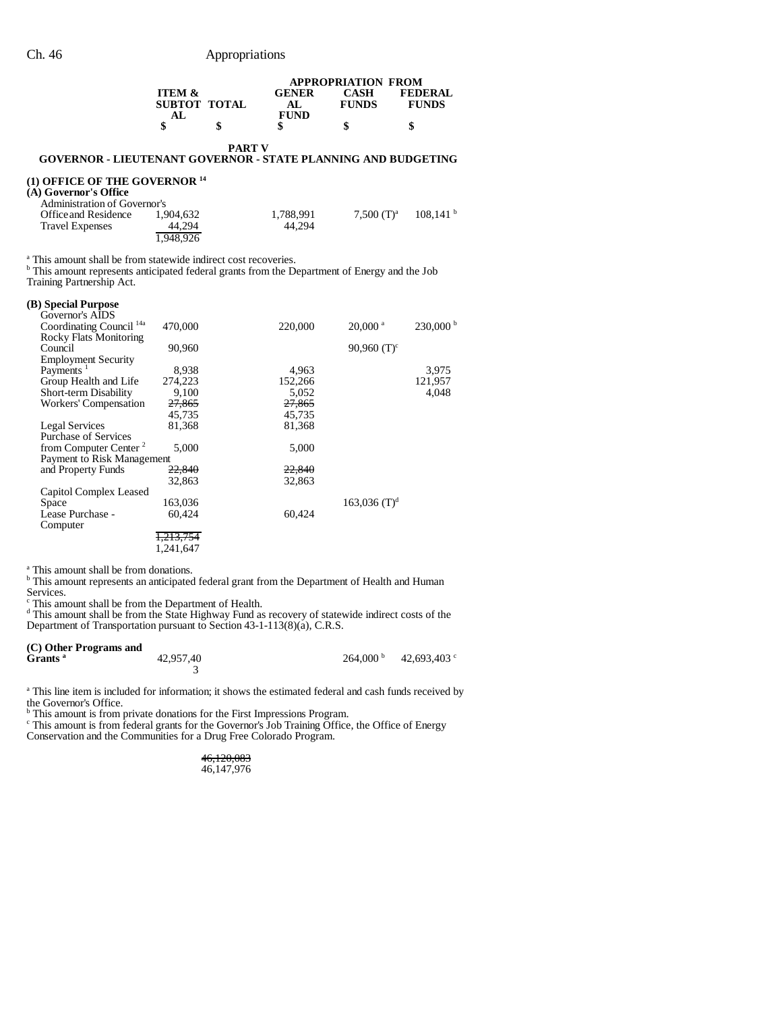|                                                                                                                                                                                                                     | <b>ITEM &amp;</b>                |               | <b>GENER</b>        | <b>APPROPRIATION FROM</b><br><b>CASH</b> | <b>FEDERAL</b>         |
|---------------------------------------------------------------------------------------------------------------------------------------------------------------------------------------------------------------------|----------------------------------|---------------|---------------------|------------------------------------------|------------------------|
|                                                                                                                                                                                                                     | <b>SUBTOT TOTAL</b><br>AL        |               | AL<br><b>FUND</b>   | <b>FUNDS</b>                             | <b>FUNDS</b>           |
|                                                                                                                                                                                                                     | \$                               | \$            | \$                  | \$                                       | \$                     |
| <b>GOVERNOR - LIEUTENANT GOVERNOR - STATE PLANNING AND BUDGETING</b>                                                                                                                                                |                                  | <b>PART V</b> |                     |                                          |                        |
| (1) OFFICE OF THE GOVERNOR $^{14}$<br>(A) Governor's Office<br><b>Administration of Governor's</b><br>Office and Residence<br><b>Travel Expenses</b>                                                                | 1,904,632<br>44,294<br>1.948.926 |               | 1,788,991<br>44.294 | 7,500 $(T)^a$                            | 108,141 <sup>b</sup>   |
| <sup>a</sup> This amount shall be from statewide indirect cost recoveries.<br><sup>b</sup> This amount represents anticipated federal grants from the Department of Energy and the Job<br>Training Partnership Act. |                                  |               |                     |                                          |                        |
| (B) Special Purpose                                                                                                                                                                                                 |                                  |               |                     |                                          |                        |
| Governor's AIDS                                                                                                                                                                                                     |                                  |               |                     |                                          |                        |
| Coordinating Council <sup>14a</sup>                                                                                                                                                                                 | 470,000                          |               | 220,000             | $20,000$ <sup>a</sup>                    | $230,000^{\mathrm{b}}$ |
| <b>Rocky Flats Monitoring</b><br>Council                                                                                                                                                                            | 90,960                           |               |                     | 90,960 $(T)^c$                           |                        |
| <b>Employment Security</b>                                                                                                                                                                                          |                                  |               |                     |                                          |                        |
| Payments <sup>1</sup>                                                                                                                                                                                               | 8,938                            |               | 4,963               |                                          | 3,975                  |
| Group Health and Life                                                                                                                                                                                               | 274,223                          |               | 152,266             |                                          | 121,957                |
| Short-term Disability                                                                                                                                                                                               | 9,100                            |               | 5,052               |                                          | 4,048                  |
| Workers' Compensation                                                                                                                                                                                               | 27,865                           |               | 27,865              |                                          |                        |
|                                                                                                                                                                                                                     | 45,735                           |               | 45,735              |                                          |                        |
| Legal Services                                                                                                                                                                                                      | 81,368                           |               | 81,368              |                                          |                        |
| <b>Purchase of Services</b>                                                                                                                                                                                         |                                  |               |                     |                                          |                        |
| from Computer Center <sup>2</sup>                                                                                                                                                                                   | 5,000                            |               | 5,000               |                                          |                        |
| Payment to Risk Management                                                                                                                                                                                          |                                  |               |                     |                                          |                        |
| and Property Funds                                                                                                                                                                                                  | 22,840                           |               | 22.840              |                                          |                        |
|                                                                                                                                                                                                                     | 32,863                           |               | 32,863              |                                          |                        |
| Capitol Complex Leased                                                                                                                                                                                              |                                  |               |                     |                                          |                        |
| Space                                                                                                                                                                                                               | 163,036                          |               |                     | $163,036$ (T) <sup>d</sup>               |                        |
| Lease Purchase -                                                                                                                                                                                                    | 60,424                           |               | 60,424              |                                          |                        |

Computer

<sup>a</sup> This amount shall be from donations.<br><sup>b</sup> This amount represents an anticipated federal grant from the Department of Health and Human Services.

<sup>c</sup> This amount shall be from the Department of Health.<br><sup>d</sup> This amount shall be from the State Highway Fund as recovery of statewide indirect costs of the Department of Transportation pursuant to Section 43-1-113(8)(a), C.R.S.

| (C) Other Programs and |           |                            |
|------------------------|-----------|----------------------------|
| Grants <sup>a</sup>    | 42,957.40 | $264.000^{b}$ 42.693.403 ° |
|                        |           |                            |

<sup>a</sup> This line item is included for information; it shows the estimated federal and cash funds received by

1,213,754 1,241,647

the Governor's Office.<br>
<sup>b</sup> This amount is from private donations for the First Impressions Program.<br>
<sup>c</sup> This amount is from federal grants for the Governor's Job Training Office, the Office of Energy Conservation and the Communities for a Drug Free Colorado Program.

> 46,120,083 46,147,976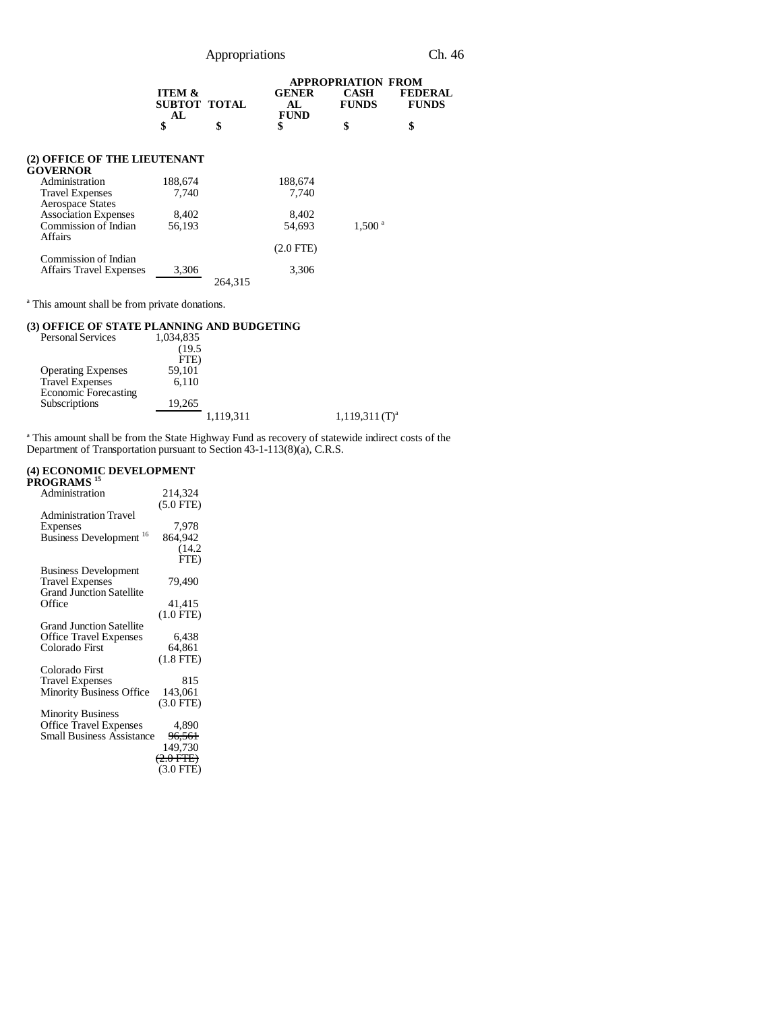Appropriations Ch. 46

|                                     |              | <b>APPROPRIATION FROM</b> |              |                |  |
|-------------------------------------|--------------|---------------------------|--------------|----------------|--|
| <b>ITEM &amp;</b>                   |              | <b>GENER</b>              | CASH         | <b>FEDERAL</b> |  |
|                                     | SUBTOT TOTAL | AL.                       | <b>FUNDS</b> | <b>FUNDS</b>   |  |
| AL.                                 |              | <b>FUND</b>               |              |                |  |
|                                     |              |                           | \$           |                |  |
|                                     |              |                           |              |                |  |
| _ _ _ _ _ _ _ _ _ _ _ _ _ _ _ _ _ _ |              |                           |              |                |  |

#### **(2) OFFICE OF THE LIEUTENANT**

| <b>GOVERNOR</b>                |         |         |             |                     |
|--------------------------------|---------|---------|-------------|---------------------|
| Administration                 | 188,674 |         | 188,674     |                     |
| <b>Travel Expenses</b>         | 7.740   |         | 7.740       |                     |
| <b>Aerospace States</b>        |         |         |             |                     |
| <b>Association Expenses</b>    | 8.402   |         | 8,402       |                     |
| Commission of Indian           | 56,193  |         | 54,693      | $1,500^{\text{ a}}$ |
| Affairs                        |         |         |             |                     |
|                                |         |         | $(2.0$ FTE) |                     |
| Commission of Indian           |         |         |             |                     |
| <b>Affairs Travel Expenses</b> | 3,306   |         | 3.306       |                     |
|                                |         | 264.315 |             |                     |
|                                |         |         |             |                     |

<sup>a</sup> This amount shall be from private donations.

### **(3) OFFICE OF STATE PLANNING AND BUDGETING**

| <b>Personal Services</b>    | 1,034,835 |           |                              |
|-----------------------------|-----------|-----------|------------------------------|
|                             | (19.5)    |           |                              |
|                             | FTE)      |           |                              |
| <b>Operating Expenses</b>   | 59,101    |           |                              |
| <b>Travel Expenses</b>      | 6.110     |           |                              |
| <b>Economic Forecasting</b> |           |           |                              |
| Subscriptions               | 19,265    |           |                              |
|                             |           | 1,119,311 | $1,119,311$ (T) <sup>a</sup> |

<sup>a</sup> This amount shall be from the State Highway Fund as recovery of statewide indirect costs of the Department of Transportation pursuant to Section 43-1-113(8)(a), C.R.S.

# **(4) ECONOMIC DEVELOPMENT PROGRAMS 15**

| <b>UUIWIHID</b>                    |                          |
|------------------------------------|--------------------------|
| Administration                     | 214,324                  |
|                                    | $(5.0$ FTE)              |
|                                    |                          |
| <b>Administration Travel</b>       |                          |
| <b>Expenses</b>                    | 7,978                    |
| Business Development <sup>16</sup> | 864,942                  |
|                                    |                          |
|                                    | (14.2)                   |
|                                    | FTE)                     |
|                                    |                          |
| <b>Business Development</b>        |                          |
| <b>Travel Expenses</b>             | 79,490                   |
| <b>Grand Junction Satellite</b>    |                          |
|                                    |                          |
| Office                             | 41,415                   |
|                                    | $(1.0$ FTE)              |
| <b>Grand Junction Satellite</b>    |                          |
|                                    |                          |
| <b>Office Travel Expenses</b>      | 6,438                    |
| Colorado First                     | 64,861                   |
|                                    | $(1.8$ FTE)              |
| Colorado First                     |                          |
|                                    |                          |
| <b>Travel Expenses</b>             | 815                      |
| <b>Minority Business Office</b>    | 143,061                  |
|                                    | $(3.0$ FTE)              |
|                                    |                          |
| <b>Minority Business</b>           |                          |
| <b>Office Travel Expenses</b>      | 4,890                    |
| <b>Small Business Assistance</b>   | 96,561                   |
|                                    |                          |
|                                    | 149,730                  |
|                                    | $\left(2.0 \right)$ FTE) |
|                                    | $(3.0$ FTE)              |
|                                    |                          |